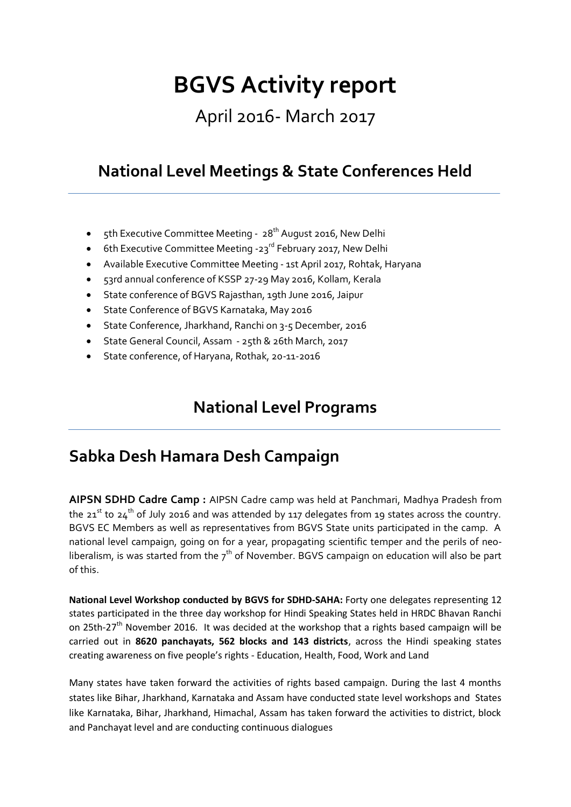# **BGVS Activity report**

# April 2016- March 2017

# **National Level Meetings & State Conferences Held**

- $\epsilon$ th Executive Committee Meeting 28<sup>th</sup> August 2016, New Delhi
- 6th Executive Committee Meeting -23<sup>rd</sup> February 2017, New Delhi
- Available Executive Committee Meeting 1st April 2017, Rohtak, Haryana
- 53rd annual conference of KSSP 27-29 May 2016, Kollam, Kerala
- State conference of BGVS Rajasthan, 19th June 2016, Jaipur
- State Conference of BGVS Karnataka, May 2016
- State Conference, Jharkhand, Ranchi on 3-5 December, 2016
- State General Council, Assam 25th & 26th March, 2017
- State conference, of Haryana, Rothak, 20-11-2016

# **National Level Programs**

# **Sabka Desh Hamara Desh Campaign**

**AIPSN SDHD Cadre Camp :** AIPSN Cadre camp was held at Panchmari, Madhya Pradesh from the 21<sup>st</sup> to 24<sup>th</sup> of July 2016 and was attended by 117 delegates from 19 states across the country. BGVS EC Members as well as representatives from BGVS State units participated in the camp. A national level campaign, going on for a year, propagating scientific temper and the perils of neoliberalism, is was started from the  $7<sup>th</sup>$  of November. BGVS campaign on education will also be part of this.

**National Level Workshop conducted by BGVS for SDHD-SAHA:** Forty one delegates representing 12 states participated in the three day workshop for Hindi Speaking States held in HRDC Bhavan Ranchi on 25th-27<sup>th</sup> November 2016. It was decided at the workshop that a rights based campaign will be carried out in **8620 panchayats, 562 blocks and 143 districts**, across the Hindi speaking states creating awareness on five people's rights - Education, Health, Food, Work and Land

Many states have taken forward the activities of rights based campaign. During the last 4 months states like Bihar, Jharkhand, Karnataka and Assam have conducted state level workshops and States like Karnataka, Bihar, Jharkhand, Himachal, Assam has taken forward the activities to district, block and Panchayat level and are conducting continuous dialogues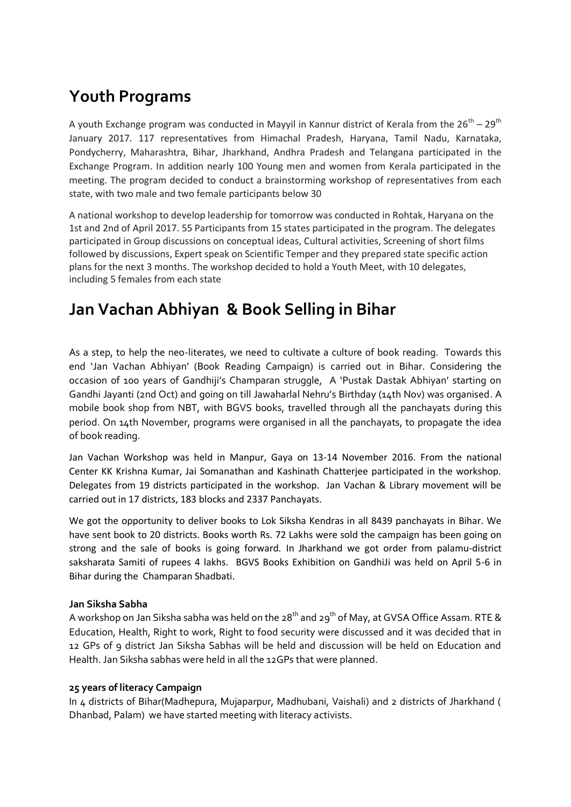# **Youth Programs**

A youth Exchange program was conducted in Mayyil in Kannur district of Kerala from the 26<sup>th</sup> – 29<sup>th</sup> January 2017. 117 representatives from Himachal Pradesh, Haryana, Tamil Nadu, Karnataka, Pondycherry, Maharashtra, Bihar, Jharkhand, Andhra Pradesh and Telangana participated in the Exchange Program. In addition nearly 100 Young men and women from Kerala participated in the meeting. The program decided to conduct a brainstorming workshop of representatives from each state, with two male and two female participants below 30

A national workshop to develop leadership for tomorrow was conducted in Rohtak, Haryana on the 1st and 2nd of April 2017. 55 Participants from 15 states participated in the program. The delegates participated in Group discussions on conceptual ideas, Cultural activities, Screening of short films followed by discussions, Expert speak on Scientific Temper and they prepared state specific action plans for the next 3 months. The workshop decided to hold a Youth Meet, with 10 delegates, including 5 females from each state

# **Jan Vachan Abhiyan & Book Selling in Bihar**

As a step, to help the neo-literates, we need to cultivate a culture of book reading. Towards this end 'Jan Vachan Abhiyan' (Book Reading Campaign) is carried out in Bihar. Considering the occasion of 100 years of Gandhiji's Champaran struggle, A 'Pustak Dastak Abhiyan' starting on Gandhi Jayanti (2nd Oct) and going on till Jawaharlal Nehru's Birthday (14th Nov) was organised. A mobile book shop from NBT, with BGVS books, travelled through all the panchayats during this period. On 14th November, programs were organised in all the panchayats, to propagate the idea of book reading.

Jan Vachan Workshop was held in Manpur, Gaya on 13-14 November 2016. From the national Center KK Krishna Kumar, Jai Somanathan and Kashinath Chatterjee participated in the workshop. Delegates from 19 districts participated in the workshop. Jan Vachan & Library movement will be carried out in 17 districts, 183 blocks and 2337 Panchayats.

We got the opportunity to deliver books to Lok Siksha Kendras in all 8439 panchayats in Bihar. We have sent book to 20 districts. Books worth Rs. 72 Lakhs were sold the campaign has been going on strong and the sale of books is going forward. In Jharkhand we got order from palamu-district saksharata Samiti of rupees 4 lakhs. BGVS Books Exhibition on GandhiJi was held on April 5-6 in Bihar during the Champaran Shadbati.

# **Jan Siksha Sabha**

A workshop on Jan Siksha sabha was held on the  $28<sup>th</sup>$  and  $29<sup>th</sup>$  of May, at GVSA Office Assam. RTE & Education, Health, Right to work, Right to food security were discussed and it was decided that in 12 GPs of 9 district Jan Siksha Sabhas will be held and discussion will be held on Education and Health. Jan Siksha sabhas were held in all the 12GPs that were planned.

# **25 years of literacy Campaign**

In 4 districts of Bihar(Madhepura, Mujaparpur, Madhubani, Vaishali) and 2 districts of Jharkhand ( Dhanbad, Palam) we have started meeting with literacy activists.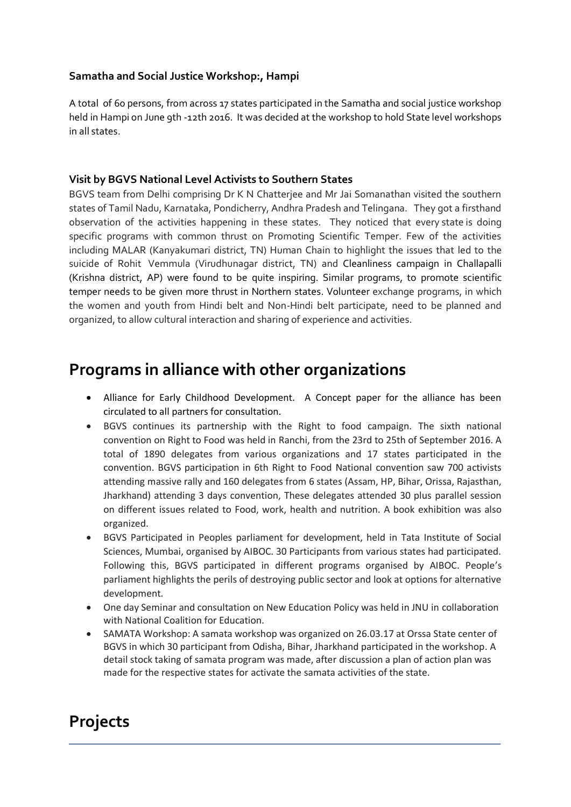# **Samatha and Social Justice Workshop:, Hampi**

A total of 60 persons, from across 17 states participated in the Samatha and social justice workshop held in Hampi on June 9th -12th 2016. It was decided at the workshop to hold State level workshops in all states.

# **Visit by BGVS National Level Activists to Southern States**

BGVS team from Delhi comprising Dr K N Chatterjee and Mr Jai Somanathan visited the southern states of Tamil Nadu, Karnataka, Pondicherry, Andhra Pradesh and Telingana. They got a firsthand observation of the activities happening in these states. They noticed that every state is doing specific programs with common thrust on Promoting Scientific Temper. Few of the activities including MALAR (Kanyakumari district, TN) Human Chain to highlight the issues that led to the suicide of Rohit Vemmula (Virudhunagar district, TN) and Cleanliness campaign in Challapalli (Krishna district, AP) were found to be quite inspiring. Similar programs, to promote scientific temper needs to be given more thrust in Northern states. Volunteer exchange programs, in which the women and youth from Hindi belt and Non-Hindi belt participate, need to be planned and organized, to allow cultural interaction and sharing of experience and activities.

# **Programs in alliance with other organizations**

- Alliance for Early Childhood Development. A Concept paper for the alliance has been circulated to all partners for consultation.
- BGVS continues its partnership with the Right to food campaign. The sixth national convention on Right to Food was held in Ranchi, from the 23rd to 25th of September 2016. A total of 1890 delegates from various organizations and 17 states participated in the convention. BGVS participation in 6th Right to Food National convention saw 700 activists attending massive rally and 160 delegates from 6 states (Assam, HP, Bihar, Orissa, Rajasthan, Jharkhand) attending 3 days convention, These delegates attended 30 plus parallel session on different issues related to Food, work, health and nutrition. A book exhibition was also organized.
- BGVS Participated in Peoples parliament for development, held in Tata Institute of Social Sciences, Mumbai, organised by AIBOC. 30 Participants from various states had participated. Following this, BGVS participated in different programs organised by AIBOC. People's parliament highlights the perils of destroying public sector and look at options for alternative development.
- One day Seminar and consultation on New Education Policy was held in JNU in collaboration with National Coalition for Education.
- SAMATA Workshop: A samata workshop was organized on 26.03.17 at Orssa State center of BGVS in which 30 participant from Odisha, Bihar, Jharkhand participated in the workshop. A detail stock taking of samata program was made, after discussion a plan of action plan was made for the respective states for activate the samata activities of the state.

# **Projects**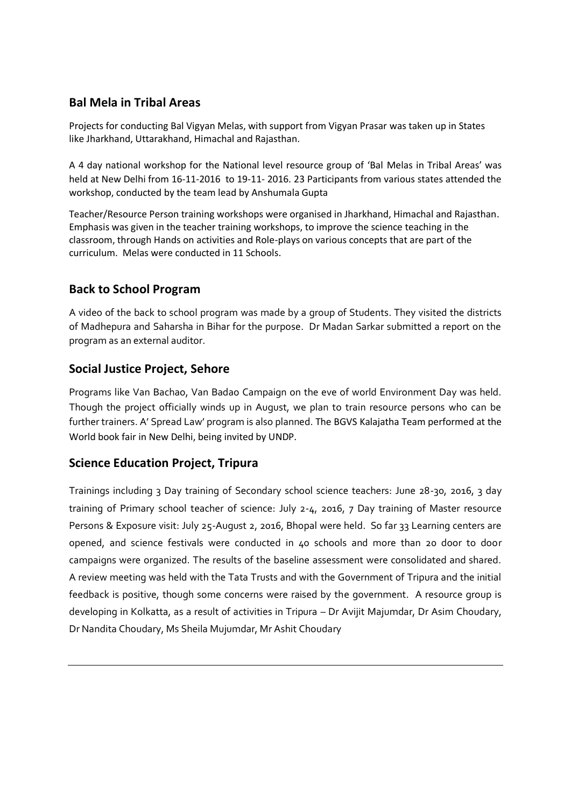# **Bal Mela in Tribal Areas**

Projects for conducting Bal Vigyan Melas, with support from Vigyan Prasar was taken up in States like Jharkhand, Uttarakhand, Himachal and Rajasthan.

A 4 day national workshop for the National level resource group of 'Bal Melas in Tribal Areas' was held at New Delhi from 16-11-2016 to 19-11- 2016. 23 Participants from various states attended the workshop, conducted by the team lead by Anshumala Gupta

Teacher/Resource Person training workshops were organised in Jharkhand, Himachal and Rajasthan. Emphasis was given in the teacher training workshops, to improve the science teaching in the classroom, through Hands on activities and Role-plays on various concepts that are part of the curriculum. Melas were conducted in 11 Schools.

# **Back to School Program**

A video of the back to school program was made by a group of Students. They visited the districts of Madhepura and Saharsha in Bihar for the purpose. Dr Madan Sarkar submitted a report on the program as an external auditor.

# **Social Justice Project, Sehore**

Programs like Van Bachao, Van Badao Campaign on the eve of world Environment Day was held. Though the project officially winds up in August, we plan to train resource persons who can be further trainers. A' Spread Law' program is also planned. The BGVS Kalajatha Team performed at the World book fair in New Delhi, being invited by UNDP.

# **Science Education Project, Tripura**

Trainings including 3 Day training of Secondary school science teachers: June 28-30, 2016, 3 day training of Primary school teacher of science: July 2-4, 2016, 7 Day training of Master resource Persons & Exposure visit: July 25-August 2, 2016, Bhopal were held. So far 33 Learning centers are opened, and science festivals were conducted in 40 schools and more than 20 door to door campaigns were organized. The results of the baseline assessment were consolidated and shared. A review meeting was held with the Tata Trusts and with the Government of Tripura and the initial feedback is positive, though some concerns were raised by the government. A resource group is developing in Kolkatta, as a result of activities in Tripura – Dr Avijit Majumdar, Dr Asim Choudary, Dr Nandita Choudary, Ms Sheila Mujumdar, Mr Ashit Choudary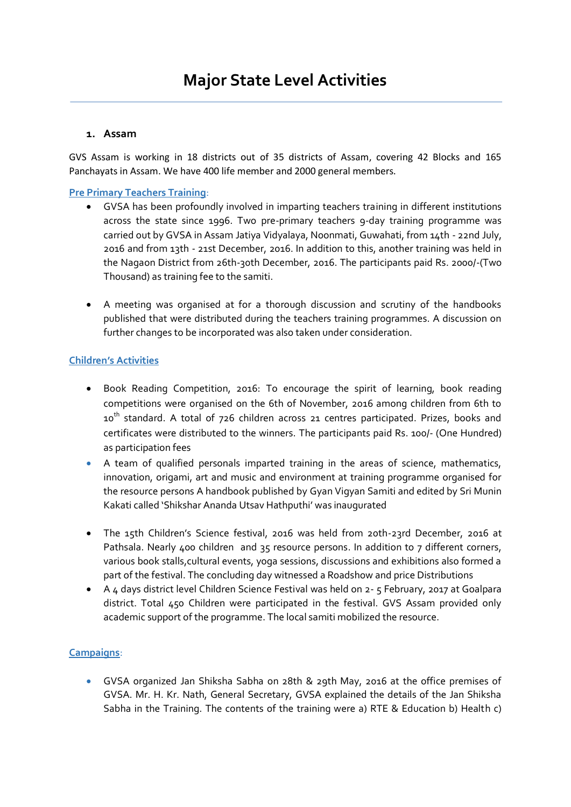# **1. Assam**

GVS Assam is working in 18 districts out of 35 districts of Assam, covering 42 Blocks and 165 Panchayats in Assam. We have 400 life member and 2000 general members.

# **Pre Primary Teachers Training**:

- GVSA has been profoundly involved in imparting teachers training in different institutions across the state since 1996. Two pre-primary teachers 9-day training programme was carried out by GVSA in Assam Jatiya Vidyalaya, Noonmati, Guwahati, from 14th - 22nd July, 2016 and from 13th - 21st December, 2016. In addition to this, another training was held in the Nagaon District from 26th-30th December, 2016. The participants paid Rs. 2000/-(Two Thousand) as training fee to the samiti.
- A meeting was organised at for a thorough discussion and scrutiny of the handbooks published that were distributed during the teachers training programmes. A discussion on further changes to be incorporated was also taken under consideration.

# **Children's Activities**

- Book Reading Competition, 2016: To encourage the spirit of learning, book reading competitions were organised on the 6th of November, 2016 among children from 6th to 10<sup>th</sup> standard. A total of 726 children across 21 centres participated. Prizes, books and certificates were distributed to the winners. The participants paid Rs. 100/- (One Hundred) as participation fees
- A team of qualified personals imparted training in the areas of science, mathematics, innovation, origami, art and music and environment at training programme organised for the resource persons A handbook published by Gyan Vigyan Samiti and edited by Sri Munin Kakati called 'Shikshar Ananda Utsav Hathputhi' was inaugurated
- The 15th Children's Science festival, 2016 was held from 20th-23rd December, 2016 at Pathsala. Nearly 400 children and 35 resource persons. In addition to 7 different corners, various book stalls,cultural events, yoga sessions, discussions and exhibitions also formed a part of the festival. The concluding day witnessed a Roadshow and price Distributions
- A 4 days district level Children Science Festival was held on 2- 5 February, 2017 at Goalpara district. Total 450 Children were participated in the festival. GVS Assam provided only academic support of the programme. The local samiti mobilized the resource.

# **Campaigns**:

 GVSA organized Jan Shiksha Sabha on 28th & 29th May, 2016 at the office premises of GVSA. Mr. H. Kr. Nath, General Secretary, GVSA explained the details of the Jan Shiksha Sabha in the Training. The contents of the training were a) RTE & Education b) Health c)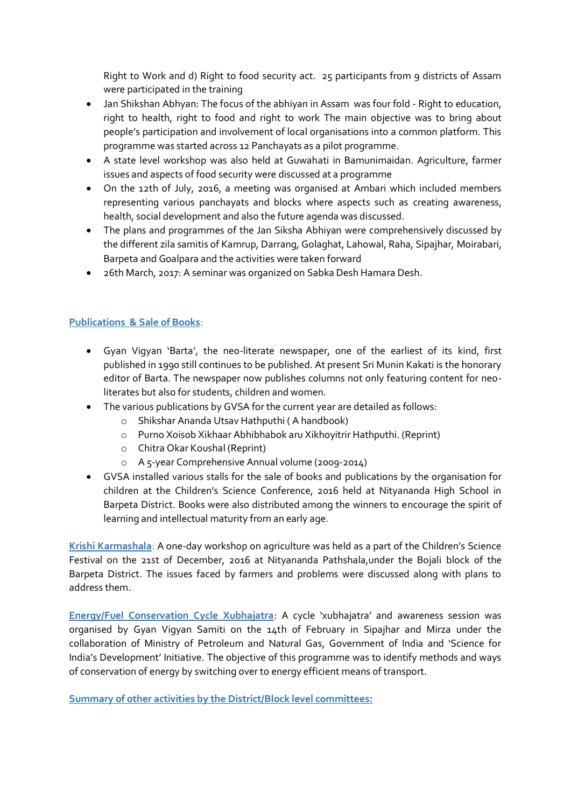Right to Work and d) Right to food security act. 25 participants from 9 districts of Assam were participated in the training

- Jan Shikshan Abhyan: The focus of the abhiyan in Assam was four fold Right to education, right to health, right to food and right to work The main objective was to bring about people's participation and involvement of local organisations into a common platform. This programme was started across 12 Panchayats as a pilot programme.
- A state level workshop was also held at Guwahati in Bamunimaidan. Agriculture, farmer issues and aspects of food security were discussed at a programme
- On the 12th of July, 2016, a meeting was organised at Ambari which included members representing various panchayats and blocks where aspects such as creating awareness, health, social development and also the future agenda was discussed.
- The plans and programmes of the Jan Siksha Abhiyan were comprehensively discussed by the different zila samitis of Kamrup, Darrang, Golaghat, Lahowal, Raha, Sipajhar, Moirabari, Barpeta and Goalpara and the activities were taken forward
- 26th March, 2017: A seminar was organized on Sabka Desh Hamara Desh.

# **Publications & Sale of Books**:

- Gyan Vigyan 'Barta', the neo-literate newspaper, one of the earliest of its kind, first published in 1990 still continues to be published. At present Sri Munin Kakati is the honorary editor of Barta. The newspaper now publishes columns not only featuring content for neoliterates but also for students, children and women.
- The various publications by GVSA for the current year are detailed as follows:
	- o Shikshar Ananda Utsav Hathputhi ( A handbook)
	- o Purno Xoisob Xikhaar Abhibhabok aru Xikhoyitrir Hathputhi. (Reprint)
	- o Chitra Okar Koushal (Reprint)
	- o A 5-year Comprehensive Annual volume (2009-2014)
- GVSA installed various stalls for the sale of books and publications by the organisation for children at the Children's Science Conference, 2016 held at Nityananda High School in Barpeta District. Books were also distributed among the winners to encourage the spirit of learning and intellectual maturity from an early age.

**Krishi Karmashala**: A one-day workshop on agriculture was held as a part of the Children's Science Festival on the 21st of December, 2016 at Nityananda Pathshala,under the Bojali block of the Barpeta District. The issues faced by farmers and problems were discussed along with plans to address them.

**Energy/Fuel Conservation Cycle Xubhajatra**: A cycle 'xubhajatra' and awareness session was organised by Gyan Vigyan Samiti on the 14th of February in Sipajhar and Mirza under the collaboration of Ministry of Petroleum and Natural Gas, Government of India and 'Science for India's Development' Initiative. The objective of this programme was to identify methods and ways of conservation of energy by switching over to energy efficient means of transport.

**Summary of other activities by the District/Block level committees:**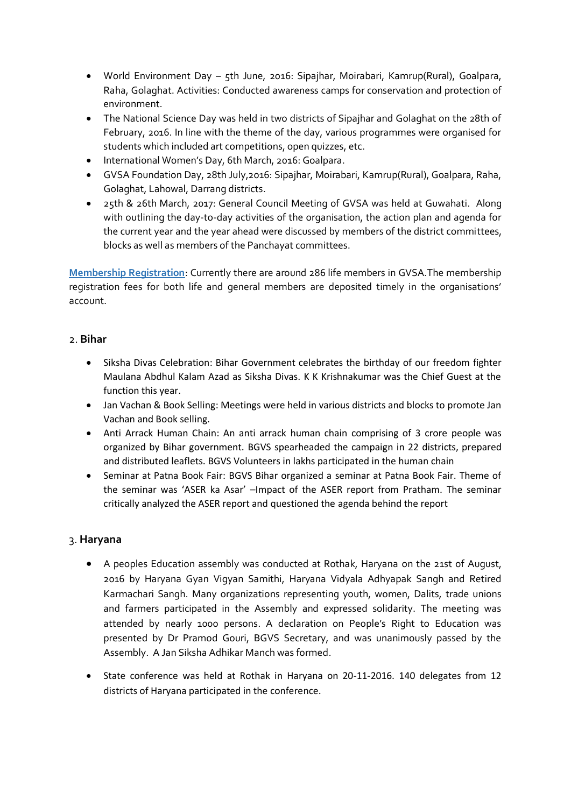- World Environment Day 5th June, 2016: Sipajhar, Moirabari, Kamrup(Rural), Goalpara, Raha, Golaghat. Activities: Conducted awareness camps for conservation and protection of environment.
- The National Science Day was held in two districts of Sipajhar and Golaghat on the 28th of February, 2016. In line with the theme of the day, various programmes were organised for students which included art competitions, open quizzes, etc.
- International Women's Day, 6th March, 2016: Goalpara.
- GVSA Foundation Day, 28th July,2016: Sipajhar, Moirabari, Kamrup(Rural), Goalpara, Raha, Golaghat, Lahowal, Darrang districts.
- 25th & 26th March, 2017: General Council Meeting of GVSA was held at Guwahati. Along with outlining the day-to-day activities of the organisation, the action plan and agenda for the current year and the year ahead were discussed by members of the district committees, blocks as well as members of the Panchayat committees.

**Membership Registration**: Currently there are around 286 life members in GVSA.The membership registration fees for both life and general members are deposited timely in the organisations' account.

# 2. **Bihar**

- Siksha Divas Celebration: Bihar Government celebrates the birthday of our freedom fighter Maulana Abdhul Kalam Azad as Siksha Divas. K K Krishnakumar was the Chief Guest at the function this year.
- Jan Vachan & Book Selling: Meetings were held in various districts and blocks to promote Jan Vachan and Book selling.
- Anti Arrack Human Chain: An anti arrack human chain comprising of 3 crore people was organized by Bihar government. BGVS spearheaded the campaign in 22 districts, prepared and distributed leaflets. BGVS Volunteers in lakhs participated in the human chain
- Seminar at Patna Book Fair: BGVS Bihar organized a seminar at Patna Book Fair. Theme of the seminar was 'ASER ka Asar' –Impact of the ASER report from Pratham. The seminar critically analyzed the ASER report and questioned the agenda behind the report

# 3. **Haryana**

- A peoples Education assembly was conducted at Rothak, Haryana on the 21st of August, 2016 by Haryana Gyan Vigyan Samithi, Haryana Vidyala Adhyapak Sangh and Retired Karmachari Sangh. Many organizations representing youth, women, Dalits, trade unions and farmers participated in the Assembly and expressed solidarity. The meeting was attended by nearly 1000 persons. A declaration on People's Right to Education was presented by Dr Pramod Gouri, BGVS Secretary, and was unanimously passed by the Assembly. A Jan Siksha Adhikar Manch was formed.
- State conference was held at Rothak in Haryana on 20-11-2016. 140 delegates from 12 districts of Haryana participated in the conference.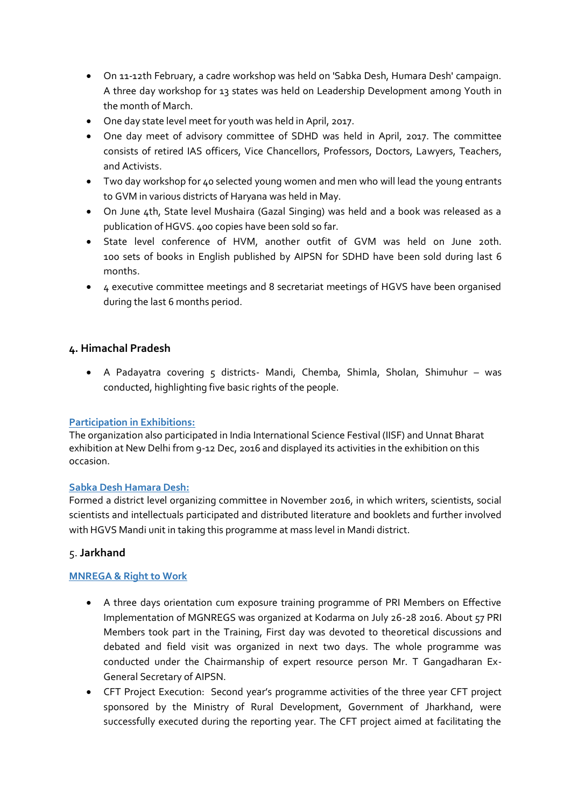- On 11-12th February, a cadre workshop was held on 'Sabka Desh, Humara Desh' campaign. A three day workshop for 13 states was held on Leadership Development among Youth in the month of March.
- One day state level meet for youth was held in April, 2017.
- One day meet of advisory committee of SDHD was held in April, 2017. The committee consists of retired IAS officers, Vice Chancellors, Professors, Doctors, Lawyers, Teachers, and Activists.
- Two day workshop for 40 selected young women and men who will lead the young entrants to GVM in various districts of Haryana was held in May.
- On June 4th, State level Mushaira (Gazal Singing) was held and a book was released as a publication of HGVS. 400 copies have been sold so far.
- State level conference of HVM, another outfit of GVM was held on June 20th. 100 sets of books in English published by AIPSN for SDHD have been sold during last 6 months.
- 4 executive committee meetings and 8 secretariat meetings of HGVS have been organised during the last 6 months period.

# **4. Himachal Pradesh**

 A Padayatra covering 5 districts- Mandi, Chemba, Shimla, Sholan, Shimuhur – was conducted, highlighting five basic rights of the people.

#### **Participation in Exhibitions:**

The organization also participated in India International Science Festival (IISF) and Unnat Bharat exhibition at New Delhi from 9-12 Dec, 2016 and displayed its activities in the exhibition on this occasion.

#### **Sabka Desh Hamara Desh:**

Formed a district level organizing committee in November 2016, in which writers, scientists, social scientists and intellectuals participated and distributed literature and booklets and further involved with HGVS Mandi unit in taking this programme at mass level in Mandi district.

#### 5. **Jarkhand**

#### **MNREGA & Right to Work**

- A three days orientation cum exposure training programme of PRI Members on Effective Implementation of MGNREGS was organized at Kodarma on July 26-28 2016. About 57 PRI Members took part in the Training, First day was devoted to theoretical discussions and debated and field visit was organized in next two days. The whole programme was conducted under the Chairmanship of expert resource person Mr. T Gangadharan Ex-General Secretary of AIPSN.
- CFT Project Execution: Second year's programme activities of the three year CFT project sponsored by the Ministry of Rural Development, Government of Jharkhand, were successfully executed during the reporting year. The CFT project aimed at facilitating the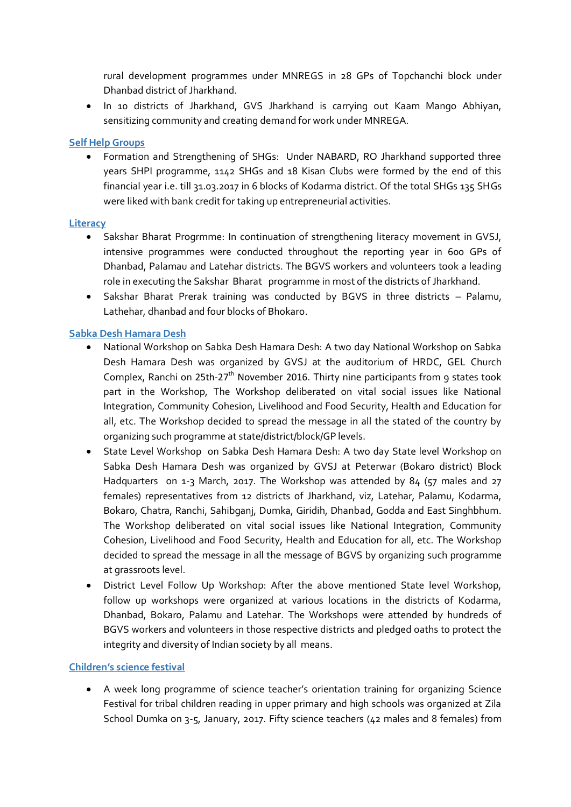rural development programmes under MNREGS in 28 GPs of Topchanchi block under Dhanbad district of Jharkhand.

 In 10 districts of Jharkhand, GVS Jharkhand is carrying out Kaam Mango Abhiyan, sensitizing community and creating demand for work under MNREGA.

#### **Self Help Groups**

 Formation and Strengthening of SHGs: Under NABARD, RO Jharkhand supported three years SHPI programme, 1142 SHGs and 18 Kisan Clubs were formed by the end of this financial year i.e. till 31.03.2017 in 6 blocks of Kodarma district. Of the total SHGs 135 SHGs were liked with bank credit for taking up entrepreneurial activities.

#### **Literacy**

- Sakshar Bharat Progrmme: In continuation of strengthening literacy movement in GVSJ, intensive programmes were conducted throughout the reporting year in 600 GPs of Dhanbad, Palamau and Latehar districts. The BGVS workers and volunteers took a leading role in executing the Sakshar Bharat programme in most of the districts of Jharkhand.
- Sakshar Bharat Prerak training was conducted by BGVS in three districts Palamu, Lathehar, dhanbad and four blocks of Bhokaro.

#### **Sabka Desh Hamara Desh**

- National Workshop on Sabka Desh Hamara Desh: A two day National Workshop on Sabka Desh Hamara Desh was organized by GVSJ at the auditorium of HRDC, GEL Church Complex, Ranchi on 25th-27<sup>th</sup> November 2016. Thirty nine participants from 9 states took part in the Workshop, The Workshop deliberated on vital social issues like National Integration, Community Cohesion, Livelihood and Food Security, Health and Education for all, etc. The Workshop decided to spread the message in all the stated of the country by organizing such programme at state/district/block/GP levels.
- State Level Workshop on Sabka Desh Hamara Desh: A two day State level Workshop on Sabka Desh Hamara Desh was organized by GVSJ at Peterwar (Bokaro district) Block Hadquarters on 1-3 March, 2017. The Workshop was attended by 84 (57 males and 27 females) representatives from 12 districts of Jharkhand, viz, Latehar, Palamu, Kodarma, Bokaro, Chatra, Ranchi, Sahibganj, Dumka, Giridih, Dhanbad, Godda and East Singhbhum. The Workshop deliberated on vital social issues like National Integration, Community Cohesion, Livelihood and Food Security, Health and Education for all, etc. The Workshop decided to spread the message in all the message of BGVS by organizing such programme at grassroots level.
- District Level Follow Up Workshop: After the above mentioned State level Workshop, follow up workshops were organized at various locations in the districts of Kodarma, Dhanbad, Bokaro, Palamu and Latehar. The Workshops were attended by hundreds of BGVS workers and volunteers in those respective districts and pledged oaths to protect the integrity and diversity of Indian society by all means.

#### **Children's science festival**

 A week long programme of science teacher's orientation training for organizing Science Festival for tribal children reading in upper primary and high schools was organized at Zila School Dumka on 3-5, January, 2017. Fifty science teachers (42 males and 8 females) from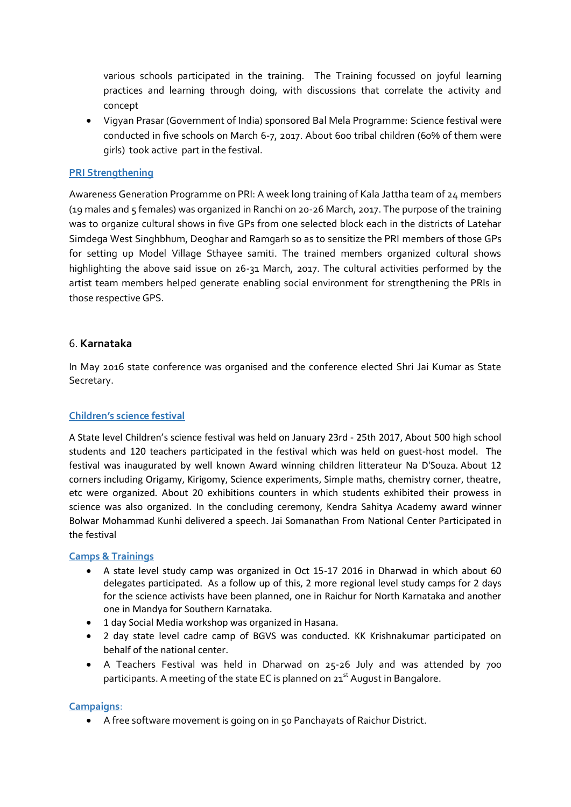various schools participated in the training. The Training focussed on joyful learning practices and learning through doing, with discussions that correlate the activity and concept

 Vigyan Prasar (Government of India) sponsored Bal Mela Programme: Science festival were conducted in five schools on March 6-7, 2017. About 600 tribal children (60% of them were girls) took active part in the festival.

#### **PRI Strengthening**

Awareness Generation Programme on PRI: A week long training of Kala Jattha team of 24 members (19 males and 5 females) was organized in Ranchi on 20-26 March, 2017. The purpose of the training was to organize cultural shows in five GPs from one selected block each in the districts of Latehar Simdega West Singhbhum, Deoghar and Ramgarh so as to sensitize the PRI members of those GPs for setting up Model Village Sthayee samiti. The trained members organized cultural shows highlighting the above said issue on 26-31 March, 2017. The cultural activities performed by the artist team members helped generate enabling social environment for strengthening the PRIs in those respective GPS.

#### 6. **Karnataka**

In May 2016 state conference was organised and the conference elected Shri Jai Kumar as State Secretary.

#### **Children's science festival**

A State level Children's science festival was held on January 23rd - 25th 2017, About 500 high school students and 120 teachers participated in the festival which was held on guest-host model. The festival was inaugurated by well known Award winning children litterateur Na D'Souza. About 12 corners including Origamy, Kirigomy, Science experiments, Simple maths, chemistry corner, theatre, etc were organized. About 20 exhibitions counters in which students exhibited their prowess in science was also organized. In the concluding ceremony, Kendra Sahitya Academy award winner Bolwar Mohammad Kunhi delivered a speech. Jai Somanathan From National Center Participated in the festival

#### **Camps & Trainings**

- A state level study camp was organized in Oct 15-17 2016 in Dharwad in which about 60 delegates participated. As a follow up of this, 2 more regional level study camps for 2 days for the science activists have been planned, one in Raichur for North Karnataka and another one in Mandya for Southern Karnataka.
- 1 day Social Media workshop was organized in Hasana.
- 2 day state level cadre camp of BGVS was conducted. KK Krishnakumar participated on behalf of the national center.
- A Teachers Festival was held in Dharwad on 25-26 July and was attended by 700 participants. A meeting of the state EC is planned on  $21<sup>st</sup>$  August in Bangalore.

#### **Campaigns**:

A free software movement is going on in 50 Panchayats of Raichur District.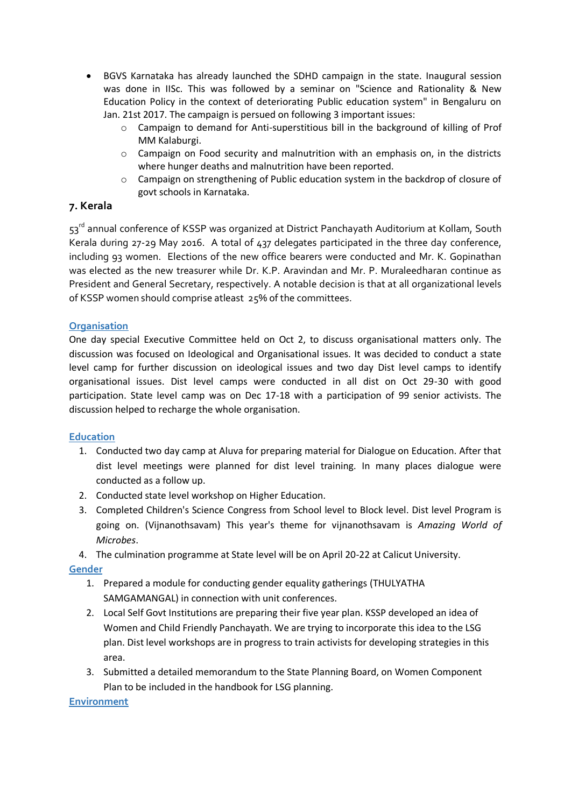- BGVS Karnataka has already launched the SDHD campaign in the state. Inaugural session was done in IISc. This was followed by a seminar on "Science and Rationality & New Education Policy in the context of deteriorating Public education system" in Bengaluru on Jan. 21st 2017. The campaign is persued on following 3 important issues:
	- o Campaign to demand for Anti-superstitious bill in the background of killing of Prof MM Kalaburgi.
	- $\circ$  Campaign on Food security and malnutrition with an emphasis on, in the districts where hunger deaths and malnutrition have been reported.
	- o Campaign on strengthening of Public education system in the backdrop of closure of govt schools in Karnataka.

# **7. Kerala**

53rd annual conference of KSSP was organized at District Panchayath Auditorium at Kollam, South Kerala during 27-29 May 2016. A total of 437 delegates participated in the three day conference, including 93 women. Elections of the new office bearers were conducted and Mr. K. Gopinathan was elected as the new treasurer while Dr. K.P. Aravindan and Mr. P. Muraleedharan continue as President and General Secretary, respectively. A notable decision is that at all organizational levels of KSSP women should comprise atleast 25% of the committees.

# **Organisation**

One day special Executive Committee held on Oct 2, to discuss organisational matters only. The discussion was focused on Ideological and Organisational issues. It was decided to conduct a state level camp for further discussion on ideological issues and two day Dist level camps to identify organisational issues. Dist level camps were conducted in all dist on Oct 29-30 with good participation. State level camp was on Dec 17-18 with a participation of 99 senior activists. The discussion helped to recharge the whole organisation.

#### **Education**

- 1. Conducted two day camp at Aluva for preparing material for Dialogue on Education. After that dist level meetings were planned for dist level training. In many places dialogue were conducted as a follow up.
- 2. Conducted state level workshop on Higher Education.
- 3. Completed Children's Science Congress from School level to Block level. Dist level Program is going on. (Vijnanothsavam) This year's theme for vijnanothsavam is *Amazing World of Microbes*.
- 4. The culmination programme at State level will be on April 20-22 at Calicut University.

#### **Gender**

- 1. Prepared a module for conducting gender equality gatherings (THULYATHA SAMGAMANGAL) in connection with unit conferences.
- 2. Local Self Govt Institutions are preparing their five year plan. KSSP developed an idea of Women and Child Friendly Panchayath. We are trying to incorporate this idea to the LSG plan. Dist level workshops are in progress to train activists for developing strategies in this area.
- 3. Submitted a detailed memorandum to the State Planning Board, on Women Component Plan to be included in the handbook for LSG planning.

#### **Environment**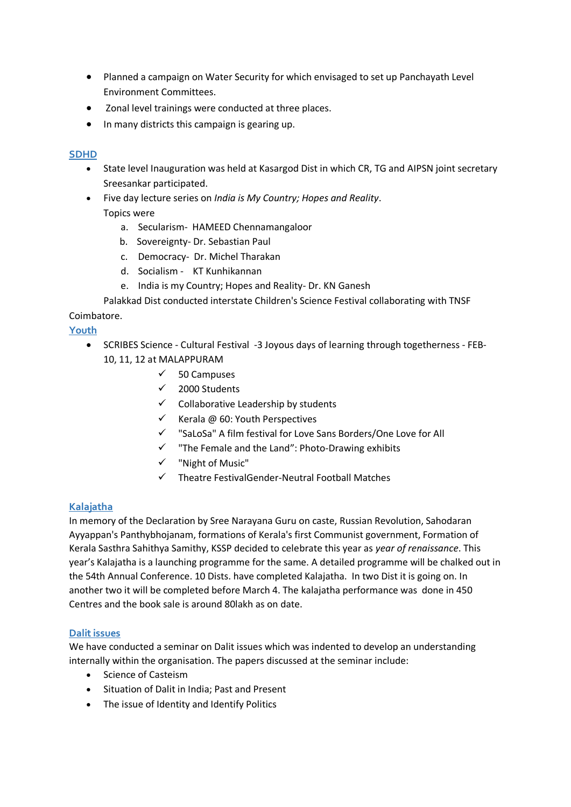- Planned a campaign on Water Security for which envisaged to set up Panchayath Level Environment Committees.
- Zonal level trainings were conducted at three places.
- In many districts this campaign is gearing up.

#### **SDHD**

- State level Inauguration was held at Kasargod Dist in which CR, TG and AIPSN joint secretary Sreesankar participated.
- Five day lecture series on *India is My Country; Hopes and Reality*.

# Topics were

- a. Secularism- HAMEED Chennamangaloor
- b. Sovereignty- Dr. Sebastian Paul
- c. Democracy- Dr. Michel Tharakan
- d. Socialism KT Kunhikannan
- e. India is my Country; Hopes and Reality- Dr. KN Ganesh

Palakkad Dist conducted interstate Children's Science Festival collaborating with TNSF Coimbatore.

# **Youth**

- SCRIBES Science Cultural Festival -3 Joyous days of learning through togetherness FEB-10, 11, 12 at MALAPPURAM
	- $\checkmark$  50 Campuses
	- $\checkmark$  2000 Students
	- $\checkmark$  Collaborative Leadership by students
	- $\checkmark$  Kerala @ 60: Youth Perspectives
	- "SaLoSa" A film festival for Love Sans Borders/One Love for All
	- $\checkmark$  "The Female and the Land": Photo-Drawing exhibits
	- $\checkmark$  "Night of Music"
	- $\checkmark$  Theatre FestivalGender-Neutral Football Matches

#### **Kalajatha**

In memory of the Declaration by Sree Narayana Guru on caste, Russian Revolution, Sahodaran Ayyappan's Panthybhojanam, formations of Kerala's first Communist government, Formation of Kerala Sasthra Sahithya Samithy, KSSP decided to celebrate this year as *year of renaissance*. This year's Kalajatha is a launching programme for the same. A detailed programme will be chalked out in the 54th Annual Conference. 10 Dists. have completed Kalajatha. In two Dist it is going on. In another two it will be completed before March 4. The kalajatha performance was done in 450 Centres and the book sale is around 80lakh as on date.

#### **Dalit issues**

We have conducted a seminar on Dalit issues which was indented to develop an understanding internally within the organisation. The papers discussed at the seminar include:

- Science of Casteism
- Situation of Dalit in India; Past and Present
- The issue of Identity and Identify Politics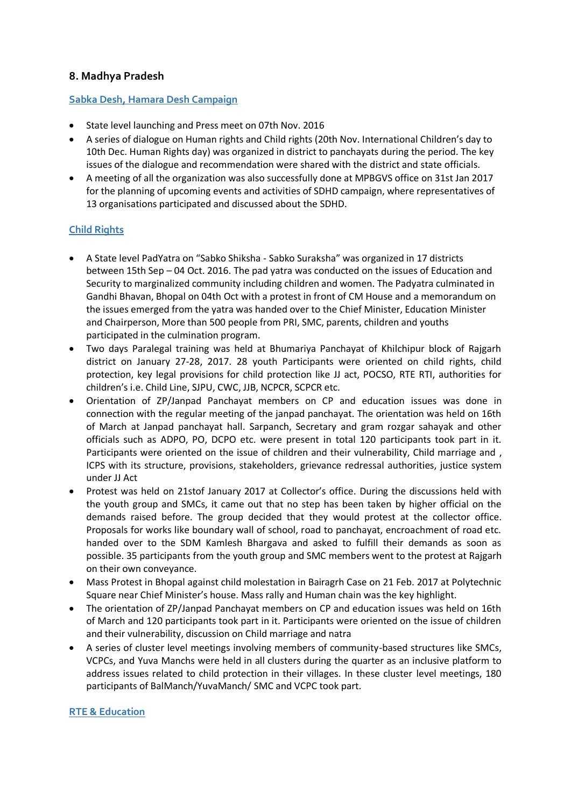# **8. Madhya Pradesh**

#### **Sabka Desh, Hamara Desh Campaign**

- State level launching and Press meet on 07th Nov. 2016
- A series of dialogue on Human rights and Child rights (20th Nov. International Children's day to 10th Dec. Human Rights day) was organized in district to panchayats during the period. The key issues of the dialogue and recommendation were shared with the district and state officials.
- A meeting of all the organization was also successfully done at MPBGVS office on 31st Jan 2017 for the planning of upcoming events and activities of SDHD campaign, where representatives of 13 organisations participated and discussed about the SDHD.

# **Child Rights**

- A State level PadYatra on "Sabko Shiksha Sabko Suraksha" was organized in 17 districts between 15th Sep – 04 Oct. 2016. The pad yatra was conducted on the issues of Education and Security to marginalized community including children and women. The Padyatra culminated in Gandhi Bhavan, Bhopal on 04th Oct with a protest in front of CM House and a memorandum on the issues emerged from the yatra was handed over to the Chief Minister, Education Minister and Chairperson, More than 500 people from PRI, SMC, parents, children and youths participated in the culmination program.
- Two days Paralegal training was held at Bhumariya Panchayat of Khilchipur block of Rajgarh district on January 27-28, 2017. 28 youth Participants were oriented on child rights, child protection, key legal provisions for child protection like JJ act, POCSO, RTE RTI, authorities for children's i.e. Child Line, SJPU, CWC, JJB, NCPCR, SCPCR etc.
- Orientation of ZP/Janpad Panchayat members on CP and education issues was done in connection with the regular meeting of the janpad panchayat. The orientation was held on 16th of March at Janpad panchayat hall. Sarpanch, Secretary and gram rozgar sahayak and other officials such as ADPO, PO, DCPO etc. were present in total 120 participants took part in it. Participants were oriented on the issue of children and their vulnerability, Child marriage and , ICPS with its structure, provisions, stakeholders, grievance redressal authorities, justice system under JJ Act
- Protest was held on 21stof January 2017 at Collector's office. During the discussions held with the youth group and SMCs, it came out that no step has been taken by higher official on the demands raised before. The group decided that they would protest at the collector office. Proposals for works like boundary wall of school, road to panchayat, encroachment of road etc. handed over to the SDM Kamlesh Bhargava and asked to fulfill their demands as soon as possible. 35 participants from the youth group and SMC members went to the protest at Rajgarh on their own conveyance.
- Mass Protest in Bhopal against child molestation in Bairagrh Case on 21 Feb. 2017 at Polytechnic Square near Chief Minister's house. Mass rally and Human chain was the key highlight.
- The orientation of ZP/Janpad Panchayat members on CP and education issues was held on 16th of March and 120 participants took part in it. Participants were oriented on the issue of children and their vulnerability, discussion on Child marriage and natra
- A series of cluster level meetings involving members of community-based structures like SMCs, VCPCs, and Yuva Manchs were held in all clusters during the quarter as an inclusive platform to address issues related to child protection in their villages. In these cluster level meetings, 180 participants of BalManch/YuvaManch/ SMC and VCPC took part.

#### **RTE & Education**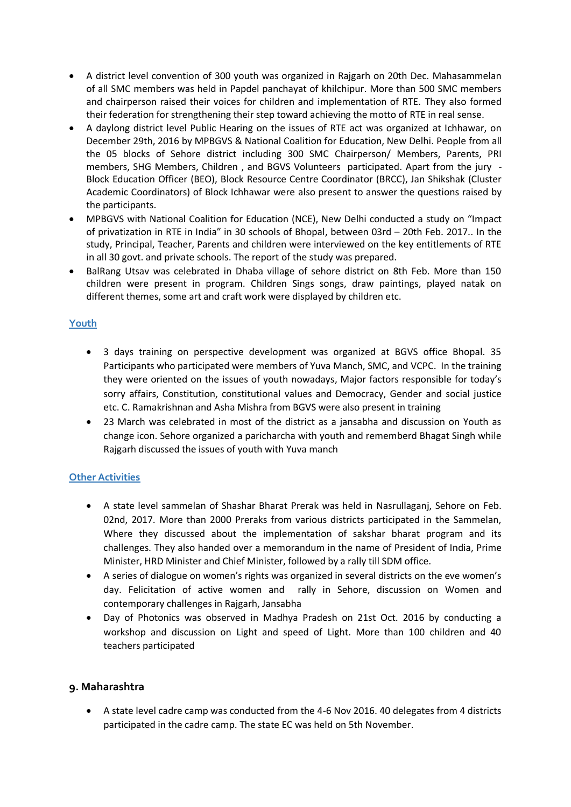- A district level convention of 300 youth was organized in Rajgarh on 20th Dec. Mahasammelan of all SMC members was held in Papdel panchayat of khilchipur. More than 500 SMC members and chairperson raised their voices for children and implementation of RTE. They also formed their federation for strengthening their step toward achieving the motto of RTE in real sense.
- A daylong district level Public Hearing on the issues of RTE act was organized at Ichhawar, on December 29th, 2016 by MPBGVS & National Coalition for Education, New Delhi. People from all the 05 blocks of Sehore district including 300 SMC Chairperson/ Members, Parents, PRI members, SHG Members, Children , and BGVS Volunteers participated. Apart from the jury - Block Education Officer (BEO), Block Resource Centre Coordinator (BRCC), Jan Shikshak (Cluster Academic Coordinators) of Block Ichhawar were also present to answer the questions raised by the participants.
- MPBGVS with National Coalition for Education (NCE), New Delhi conducted a study on "Impact of privatization in RTE in India" in 30 schools of Bhopal, between 03rd – 20th Feb. 2017.. In the study, Principal, Teacher, Parents and children were interviewed on the key entitlements of RTE in all 30 govt. and private schools. The report of the study was prepared.
- BalRang Utsav was celebrated in Dhaba village of sehore district on 8th Feb. More than 150 children were present in program. Children Sings songs, draw paintings, played natak on different themes, some art and craft work were displayed by children etc.

# **Youth**

- 3 days training on perspective development was organized at BGVS office Bhopal. 35 Participants who participated were members of Yuva Manch, SMC, and VCPC. In the training they were oriented on the issues of youth nowadays, Major factors responsible for today's sorry affairs, Constitution, constitutional values and Democracy, Gender and social justice etc. C. Ramakrishnan and Asha Mishra from BGVS were also present in training
- 23 March was celebrated in most of the district as a jansabha and discussion on Youth as change icon. Sehore organized a paricharcha with youth and rememberd Bhagat Singh while Rajgarh discussed the issues of youth with Yuva manch

# **Other Activities**

- A state level sammelan of Shashar Bharat Prerak was held in Nasrullaganj, Sehore on Feb. 02nd, 2017. More than 2000 Preraks from various districts participated in the Sammelan, Where they discussed about the implementation of sakshar bharat program and its challenges. They also handed over a memorandum in the name of President of India, Prime Minister, HRD Minister and Chief Minister, followed by a rally till SDM office.
- A series of dialogue on women's rights was organized in several districts on the eve women's day. Felicitation of active women and rally in Sehore, discussion on Women and contemporary challenges in Rajgarh, Jansabha
- Day of Photonics was observed in Madhya Pradesh on 21st Oct. 2016 by conducting a workshop and discussion on Light and speed of Light. More than 100 children and 40 teachers participated

# **9. Maharashtra**

 A state level cadre camp was conducted from the 4-6 Nov 2016. 40 delegates from 4 districts participated in the cadre camp. The state EC was held on 5th November.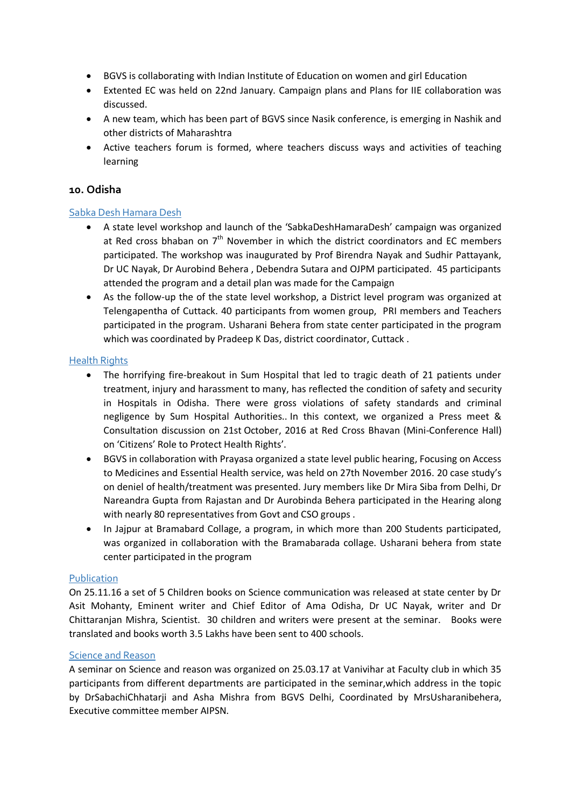- BGVS is collaborating with Indian Institute of Education on women and girl Education
- Extented EC was held on 22nd January. Campaign plans and Plans for IIE collaboration was discussed.
- A new team, which has been part of BGVS since Nasik conference, is emerging in Nashik and other districts of Maharashtra
- Active teachers forum is formed, where teachers discuss ways and activities of teaching learning

#### **10. Odisha**

#### Sabka Desh Hamara Desh

- A state level workshop and launch of the 'SabkaDeshHamaraDesh' campaign was organized at Red cross bhaban on  $7<sup>th</sup>$  November in which the district coordinators and EC members participated. The workshop was inaugurated by Prof Birendra Nayak and Sudhir Pattayank, Dr UC Nayak, Dr Aurobind Behera , Debendra Sutara and OJPM participated. 45 participants attended the program and a detail plan was made for the Campaign
- As the follow-up the of the state level workshop, a District level program was organized at Telengapentha of Cuttack. 40 participants from women group, PRI members and Teachers participated in the program. Usharani Behera from state center participated in the program which was coordinated by Pradeep K Das, district coordinator, Cuttack .

#### Health Rights

- The horrifying fire-breakout in Sum Hospital that led to tragic death of 21 patients under treatment, injury and harassment to many, has reflected the condition of safety and security in Hospitals in Odisha. There were gross violations of safety standards and criminal negligence by Sum Hospital Authorities.. In this context, we organized a Press meet & Consultation discussion on 21st October, 2016 at Red Cross Bhavan (Mini-Conference Hall) on 'Citizens' Role to Protect Health Rights'.
- BGVS in collaboration with Prayasa organized a state level public hearing, Focusing on Access to Medicines and Essential Health service, was held on 27th November 2016. 20 case study's on deniel of health/treatment was presented. Jury members like Dr Mira Siba from Delhi, Dr Nareandra Gupta from Rajastan and Dr Aurobinda Behera participated in the Hearing along with nearly 80 representatives from Govt and CSO groups .
- In Jajpur at Bramabard Collage, a program, in which more than 200 Students participated, was organized in collaboration with the Bramabarada collage. Usharani behera from state center participated in the program

#### **Publication**

On 25.11.16 a set of 5 Children books on Science communication was released at state center by Dr Asit Mohanty, Eminent writer and Chief Editor of Ama Odisha, Dr UC Nayak, writer and Dr Chittaranjan Mishra, Scientist. 30 children and writers were present at the seminar. Books were translated and books worth 3.5 Lakhs have been sent to 400 schools.

#### Science and Reason

A seminar on Science and reason was organized on 25.03.17 at Vanivihar at Faculty club in which 35 participants from different departments are participated in the seminar,which address in the topic by DrSabachiChhatarji and Asha Mishra from BGVS Delhi, Coordinated by MrsUsharanibehera, Executive committee member AIPSN.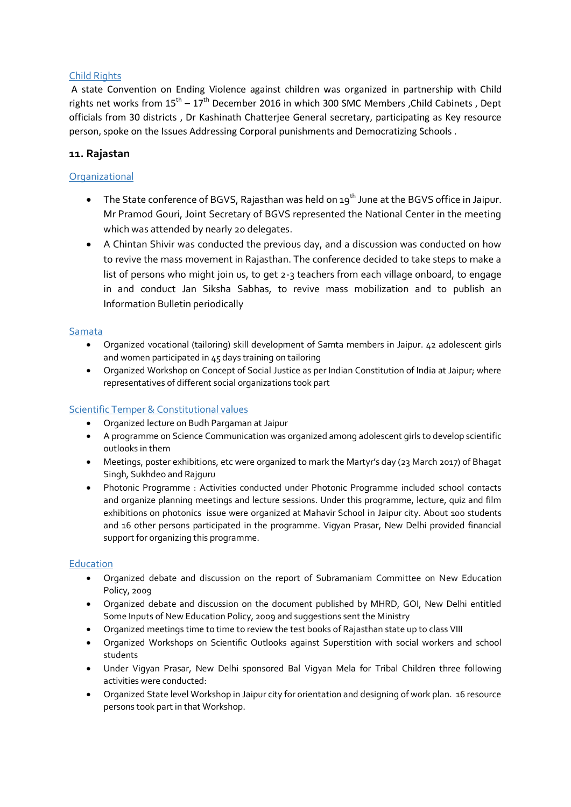#### Child Rights

A state Convention on Ending Violence against children was organized in partnership with Child rights net works from  $15^{th} - 17^{th}$  December 2016 in which 300 SMC Members , Child Cabinets , Dept officials from 30 districts , Dr Kashinath Chatterjee General secretary, participating as Key resource person, spoke on the Issues Addressing Corporal punishments and Democratizing Schools .

# **11. Rajastan**

#### **Organizational**

- $\bullet$  The State conference of BGVS, Rajasthan was held on 19<sup>th</sup> June at the BGVS office in Jaipur. Mr Pramod Gouri, Joint Secretary of BGVS represented the National Center in the meeting which was attended by nearly 20 delegates.
- A Chintan Shivir was conducted the previous day, and a discussion was conducted on how to revive the mass movement in Rajasthan. The conference decided to take steps to make a list of persons who might join us, to get 2-3 teachers from each village onboard, to engage in and conduct Jan Siksha Sabhas, to revive mass mobilization and to publish an Information Bulletin periodically

#### Samata

- Organized vocational (tailoring) skill development of Samta members in Jaipur. 42 adolescent girls and women participated in 45 days training on tailoring
- Organized Workshop on Concept of Social Justice as per Indian Constitution of India at Jaipur; where representatives of different social organizations took part

#### Scientific Temper & Constitutional values

- Organized lecture on Budh Pargaman at Jaipur
- A programme on Science Communication was organized among adolescent girls to develop scientific outlooks in them
- Meetings, poster exhibitions, etc were organized to mark the Martyr's day (23 March 2017) of Bhagat Singh, Sukhdeo and Rajguru
- Photonic Programme : Activities conducted under Photonic Programme included school contacts and organize planning meetings and lecture sessions. Under this programme, lecture, quiz and film exhibitions on photonics issue were organized at Mahavir School in Jaipur city. About 100 students and 16 other persons participated in the programme. Vigyan Prasar, New Delhi provided financial support for organizing this programme.

#### Education

- Organized debate and discussion on the report of Subramaniam Committee on New Education Policy, 2009
- Organized debate and discussion on the document published by MHRD, GOI, New Delhi entitled Some Inputs of New Education Policy, 2009 and suggestions sent the Ministry
- Organized meetings time to time to review the test books of Rajasthan state up to class VIII
- Organized Workshops on Scientific Outlooks against Superstition with social workers and school students
- Under Vigyan Prasar, New Delhi sponsored Bal Vigyan Mela for Tribal Children three following activities were conducted:
- Organized State level Workshop in Jaipur city for orientation and designing of work plan. 16 resource persons took part in that Workshop.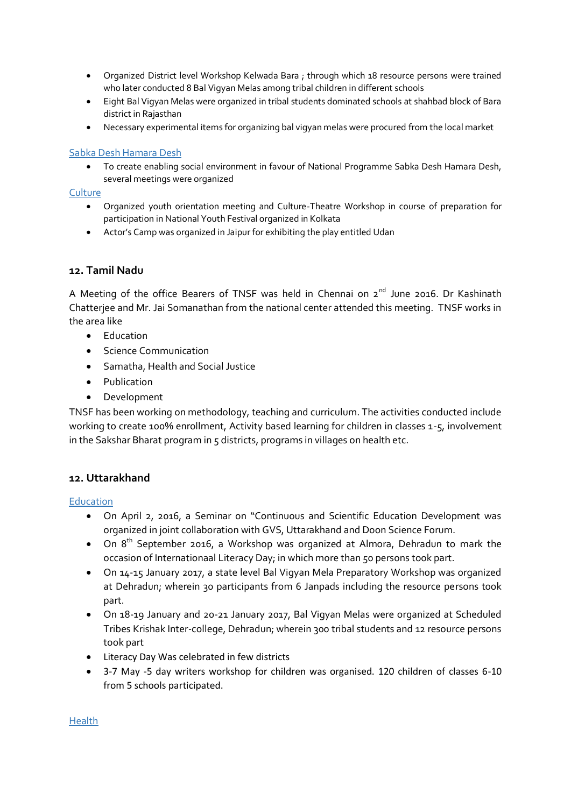- Organized District level Workshop Kelwada Bara ; through which 18 resource persons were trained who later conducted 8 Bal Vigyan Melas among tribal children in different schools
- Eight Bal Vigyan Melas were organized in tribal students dominated schools at shahbad block of Bara district in Rajasthan
- Necessary experimental items for organizing bal vigyan melas were procured from the local market

#### Sabka Desh Hamara Desh

 To create enabling social environment in favour of National Programme Sabka Desh Hamara Desh, several meetings were organized

#### **Culture**

- Organized youth orientation meeting and Culture-Theatre Workshop in course of preparation for participation in National Youth Festival organized in Kolkata
- Actor's Camp was organized in Jaipur for exhibiting the play entitled Udan

# **12. Tamil Nadu**

A Meeting of the office Bearers of TNSF was held in Chennai on  $2^{nd}$  June 2016. Dr Kashinath Chatterjee and Mr. Jai Somanathan from the national center attended this meeting. TNSF works in the area like

- Education
- Science Communication
- Samatha, Health and Social Justice
- Publication
- Development

TNSF has been working on methodology, teaching and curriculum. The activities conducted include working to create 100% enrollment, Activity based learning for children in classes 1-5, involvement in the Sakshar Bharat program in 5 districts, programs in villages on health etc.

# **12. Uttarakhand**

#### Education

- On April 2, 2016, a Seminar on "Continuous and Scientific Education Development was organized in joint collaboration with GVS, Uttarakhand and Doon Science Forum.
- On 8<sup>th</sup> September 2016, a Workshop was organized at Almora, Dehradun to mark the occasion of Internationaal Literacy Day; in which more than 50 persons took part.
- On 14-15 January 2017, a state level Bal Vigyan Mela Preparatory Workshop was organized at Dehradun; wherein 30 participants from 6 Janpads including the resource persons took part.
- On 18-19 January and 20-21 January 2017, Bal Vigyan Melas were organized at Scheduled Tribes Krishak Inter-college, Dehradun; wherein 300 tribal students and 12 resource persons took part
- Literacy Day Was celebrated in few districts
- 3-7 May -5 day writers workshop for children was organised. 120 children of classes 6-10 from 5 schools participated.

Health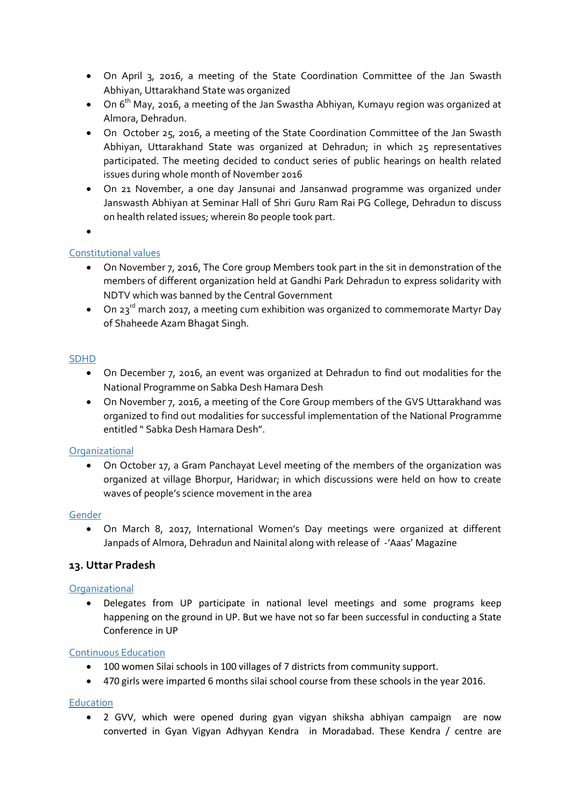- On April 3, 2016, a meeting of the State Coordination Committee of the Jan Swasth Abhiyan, Uttarakhand State was organized
- $\bullet$  On 6<sup>th</sup> May, 2016, a meeting of the Jan Swastha Abhiyan, Kumayu region was organized at Almora, Dehradun.
- On October 25, 2016, a meeting of the State Coordination Committee of the Jan Swasth Abhiyan, Uttarakhand State was organized at Dehradun; in which 25 representatives participated. The meeting decided to conduct series of public hearings on health related issues during whole month of November 2016
- On 21 November, a one day Jansunai and Jansanwad programme was organized under Janswasth Abhiyan at Seminar Hall of Shri Guru Ram Rai PG College, Dehradun to discuss on health related issues; wherein 80 people took part.
- $\bullet$

# Constitutional values

- On November 7, 2016, The Core group Members took part in the sit in demonstration of the members of different organization held at Gandhi Park Dehradun to express solidarity with NDTV which was banned by the Central Government
- On 23<sup>rd</sup> march 2017, a meeting cum exhibition was organized to commemorate Martyr Day of Shaheede Azam Bhagat Singh.

#### SDHD

- On December 7, 2016, an event was organized at Dehradun to find out modalities for the National Programme on Sabka Desh Hamara Desh
- On November 7, 2016, a meeting of the Core Group members of the GVS Uttarakhand was organized to find out modalities for successful implementation of the National Programme entitled " Sabka Desh Hamara Desh".

#### **Organizational**

 On October 17, a Gram Panchayat Level meeting of the members of the organization was organized at village Bhorpur, Haridwar; in which discussions were held on how to create waves of people's science movement in the area

#### Gender

 On March 8, 2017, International Women's Day meetings were organized at different Janpads of Almora, Dehradun and Nainital along with release of -'Aaas' Magazine

#### **13. Uttar Pradesh**

#### **Organizational**

 Delegates from UP participate in national level meetings and some programs keep happening on the ground in UP. But we have not so far been successful in conducting a State Conference in UP

#### Continuous Education

- 100 women Silai schools in 100 villages of 7 districts from community support.
- 470 girls were imparted 6 months silai school course from these schools in the year 2016.

#### **Education**

 2 GVV, which were opened during gyan vigyan shiksha abhiyan campaign are now converted in Gyan Vigyan Adhyyan Kendra in Moradabad. These Kendra / centre are